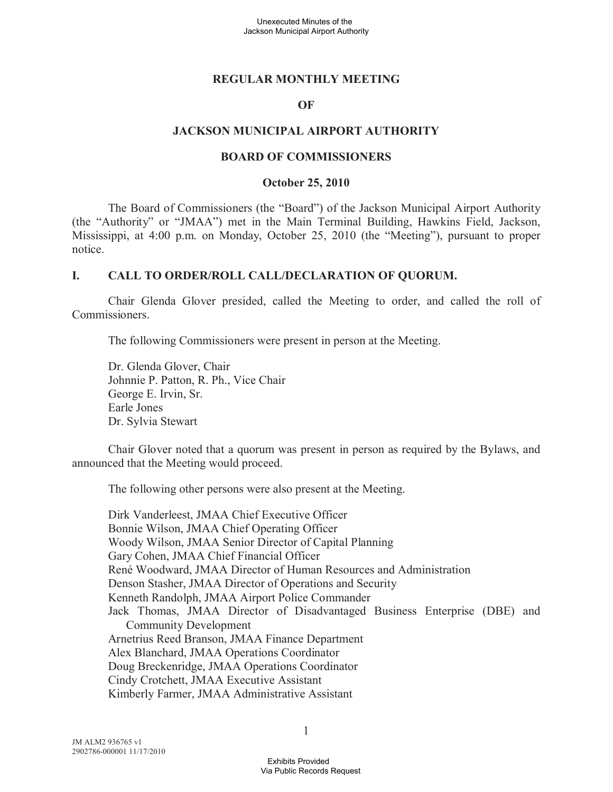### **REGULAR MONTHLY MEETING**

### **OF**

### **JACKSON MUNICIPAL AIRPORT AUTHORITY**

#### **BOARD OF COMMISSIONERS**

#### **October 25, 2010**

The Board of Commissioners (the "Board") of the Jackson Municipal Airport Authority (the "Authority" or "JMAA") met in the Main Terminal Building, Hawkins Field, Jackson, Mississippi, at 4:00 p.m. on Monday, October 25, 2010 (the "Meeting"), pursuant to proper notice.

### **I. CALL TO ORDER/ROLL CALL/DECLARATION OF QUORUM.**

Chair Glenda Glover presided, called the Meeting to order, and called the roll of Commissioners.

The following Commissioners were present in person at the Meeting.

Dr. Glenda Glover, Chair Johnnie P. Patton, R. Ph., Vice Chair George E. Irvin, Sr. Earle Jones Dr. Sylvia Stewart

Chair Glover noted that a quorum was present in person as required by the Bylaws, and announced that the Meeting would proceed.

The following other persons were also present at the Meeting.

Dirk Vanderleest, JMAA Chief Executive Officer Bonnie Wilson, JMAA Chief Operating Officer Woody Wilson, JMAA Senior Director of Capital Planning Gary Cohen, JMAA Chief Financial Officer René Woodward, JMAA Director of Human Resources and Administration Denson Stasher, JMAA Director of Operations and Security Kenneth Randolph, JMAA Airport Police Commander Jack Thomas, JMAA Director of Disadvantaged Business Enterprise (DBE) and Community Development Arnetrius Reed Branson, JMAA Finance Department Alex Blanchard, JMAA Operations Coordinator Doug Breckenridge, JMAA Operations Coordinator Cindy Crotchett, JMAA Executive Assistant Kimberly Farmer, JMAA Administrative Assistant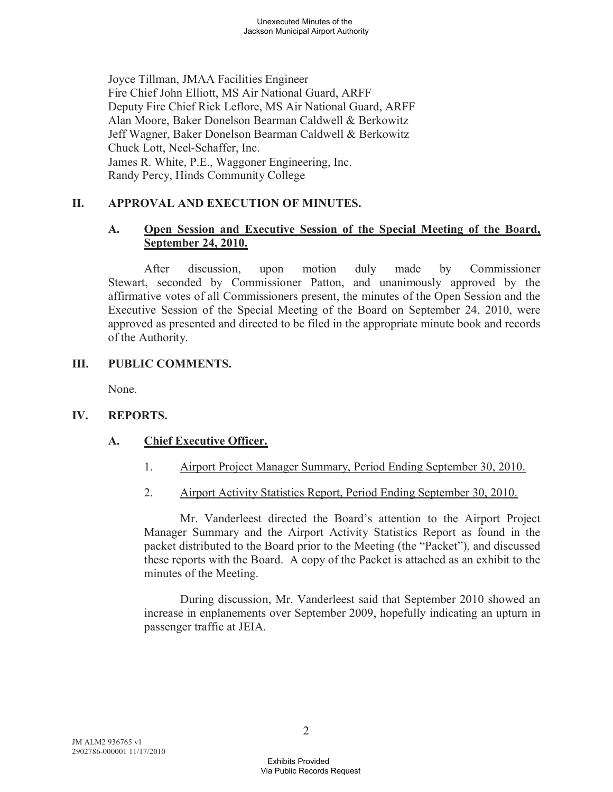Joyce Tillman, JMAA Facilities Engineer Fire Chief John Elliott, MS Air National Guard, ARFF Deputy Fire Chief Rick Leflore, MS Air National Guard, ARFF Alan Moore, Baker Donelson Bearman Caldwell & Berkowitz Jeff Wagner, Baker Donelson Bearman Caldwell & Berkowitz Chuck Lott, Neel-Schaffer, Inc. James R. White, P.E., Waggoner Engineering, Inc. Randy Percy, Hinds Community College

# **II. APPROVAL AND EXECUTION OF MINUTES.**

# **A. Open Session and Executive Session of the Special Meeting of the Board, September 24, 2010.**

After discussion, upon motion duly made by Commissioner Stewart, seconded by Commissioner Patton, and unanimously approved by the affirmative votes of all Commissioners present, the minutes of the Open Session and the Executive Session of the Special Meeting of the Board on September 24, 2010, were approved as presented and directed to be filed in the appropriate minute book and records of the Authority.

# **III. PUBLIC COMMENTS.**

None.

# **IV. REPORTS.**

# **A. Chief Executive Officer.**

- 1. Airport Project Manager Summary, Period Ending September 30, 2010.
- 2. Airport Activity Statistics Report, Period Ending September 30, 2010.

Mr. Vanderleest directed the Board's attention to the Airport Project Manager Summary and the Airport Activity Statistics Report as found in the packet distributed to the Board prior to the Meeting (the "Packet"), and discussed these reports with the Board. A copy of the Packet is attached as an exhibit to the minutes of the Meeting.

During discussion, Mr. Vanderleest said that September 2010 showed an increase in enplanements over September 2009, hopefully indicating an upturn in passenger traffic at JEIA.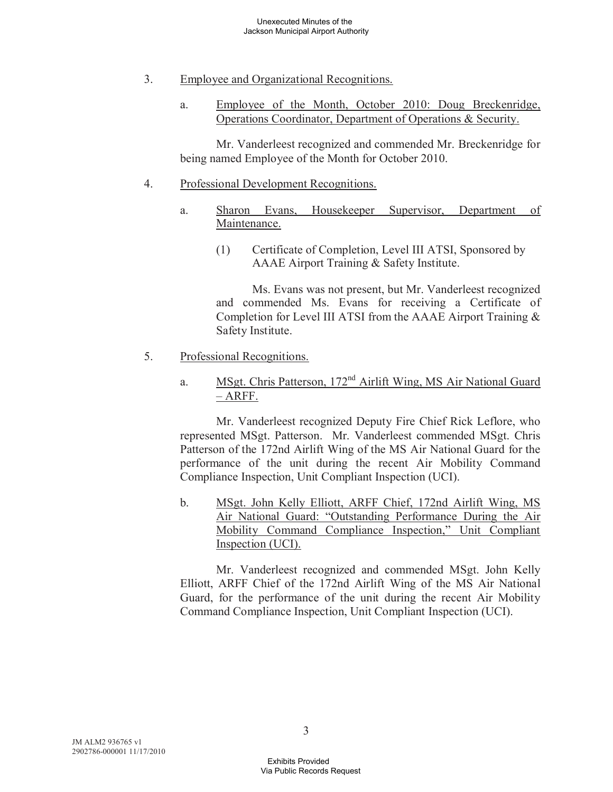- 3. Employee and Organizational Recognitions.
	- a. Employee of the Month, October 2010: Doug Breckenridge, Operations Coordinator, Department of Operations & Security.

Mr. Vanderleest recognized and commended Mr. Breckenridge for being named Employee of the Month for October 2010.

### 4. Professional Development Recognitions.

- a. Sharon Evans, Housekeeper Supervisor, Department of Maintenance.
	- (1) Certificate of Completion, Level III ATSI, Sponsored by AAAE Airport Training & Safety Institute.

Ms. Evans was not present, but Mr. Vanderleest recognized and commended Ms. Evans for receiving a Certificate of Completion for Level III ATSI from the AAAE Airport Training & Safety Institute.

- 5. Professional Recognitions.
	- a. MSgt. Chris Patterson, 172<sup>nd</sup> Airlift Wing, MS Air National Guard – ARFF.

Mr. Vanderleest recognized Deputy Fire Chief Rick Leflore, who represented MSgt. Patterson. Mr. Vanderleest commended MSgt. Chris Patterson of the 172nd Airlift Wing of the MS Air National Guard for the performance of the unit during the recent Air Mobility Command Compliance Inspection, Unit Compliant Inspection (UCI).

b. MSgt. John Kelly Elliott, ARFF Chief, 172nd Airlift Wing, MS Air National Guard: "Outstanding Performance During the Air Mobility Command Compliance Inspection," Unit Compliant Inspection (UCI).

Mr. Vanderleest recognized and commended MSgt. John Kelly Elliott, ARFF Chief of the 172nd Airlift Wing of the MS Air National Guard, for the performance of the unit during the recent Air Mobility Command Compliance Inspection, Unit Compliant Inspection (UCI).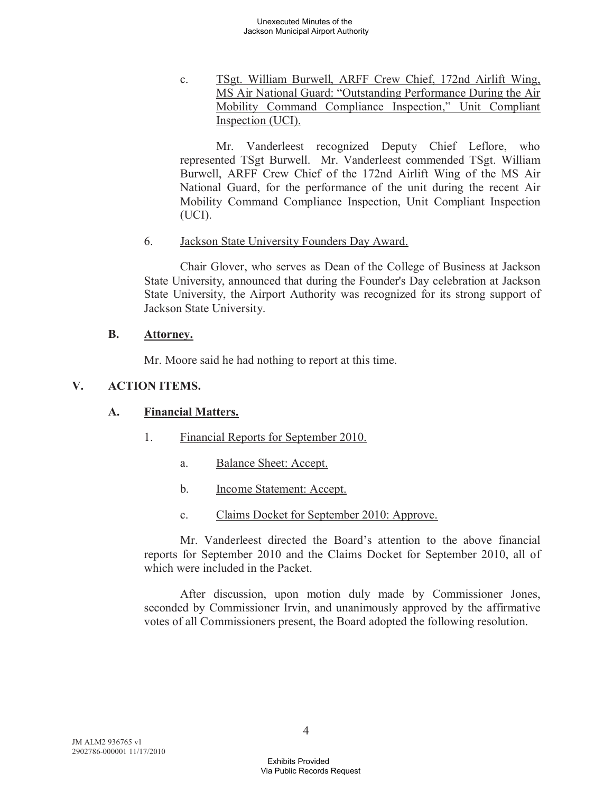c. TSgt. William Burwell, ARFF Crew Chief, 172nd Airlift Wing, MS Air National Guard: "Outstanding Performance During the Air Mobility Command Compliance Inspection," Unit Compliant Inspection (UCI).

Mr. Vanderleest recognized Deputy Chief Leflore, who represented TSgt Burwell. Mr. Vanderleest commended TSgt. William Burwell, ARFF Crew Chief of the 172nd Airlift Wing of the MS Air National Guard, for the performance of the unit during the recent Air Mobility Command Compliance Inspection, Unit Compliant Inspection (UCI).

6. Jackson State University Founders Day Award.

Chair Glover, who serves as Dean of the College of Business at Jackson State University, announced that during the Founder's Day celebration at Jackson State University, the Airport Authority was recognized for its strong support of Jackson State University.

### **B. Attorney.**

Mr. Moore said he had nothing to report at this time.

## **V. ACTION ITEMS.**

### **A. Financial Matters.**

- 1. Financial Reports for September 2010.
	- a. Balance Sheet: Accept.
	- b. Income Statement: Accept.
	- c. Claims Docket for September 2010: Approve.

Mr. Vanderleest directed the Board's attention to the above financial reports for September 2010 and the Claims Docket for September 2010, all of which were included in the Packet.

After discussion, upon motion duly made by Commissioner Jones, seconded by Commissioner Irvin, and unanimously approved by the affirmative votes of all Commissioners present, the Board adopted the following resolution.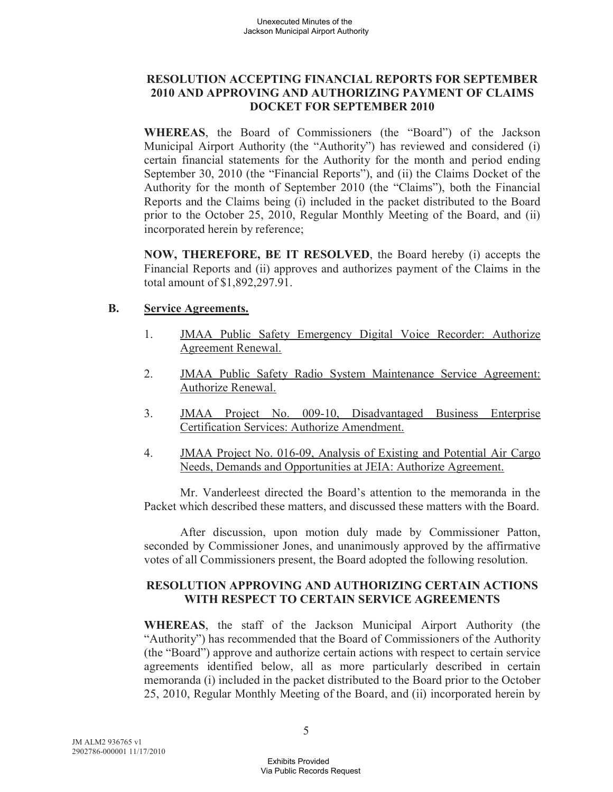# **RESOLUTION ACCEPTING FINANCIAL REPORTS FOR SEPTEMBER 2010 AND APPROVING AND AUTHORIZING PAYMENT OF CLAIMS DOCKET FOR SEPTEMBER 2010**

**WHEREAS**, the Board of Commissioners (the "Board") of the Jackson Municipal Airport Authority (the "Authority") has reviewed and considered (i) certain financial statements for the Authority for the month and period ending September 30, 2010 (the "Financial Reports"), and (ii) the Claims Docket of the Authority for the month of September 2010 (the "Claims"), both the Financial Reports and the Claims being (i) included in the packet distributed to the Board prior to the October 25, 2010, Regular Monthly Meeting of the Board, and (ii) incorporated herein by reference;

**NOW, THEREFORE, BE IT RESOLVED**, the Board hereby (i) accepts the Financial Reports and (ii) approves and authorizes payment of the Claims in the total amount of \$1,892,297.91.

### **B. Service Agreements.**

- 1. JMAA Public Safety Emergency Digital Voice Recorder: Authorize Agreement Renewal.
- 2. JMAA Public Safety Radio System Maintenance Service Agreement: Authorize Renewal.
- 3. JMAA Project No. 009-10, Disadvantaged Business Enterprise Certification Services: Authorize Amendment.
- 4. JMAA Project No. 016-09, Analysis of Existing and Potential Air Cargo Needs, Demands and Opportunities at JEIA: Authorize Agreement.

Mr. Vanderleest directed the Board's attention to the memoranda in the Packet which described these matters, and discussed these matters with the Board.

After discussion, upon motion duly made by Commissioner Patton, seconded by Commissioner Jones, and unanimously approved by the affirmative votes of all Commissioners present, the Board adopted the following resolution.

# **RESOLUTION APPROVING AND AUTHORIZING CERTAIN ACTIONS WITH RESPECT TO CERTAIN SERVICE AGREEMENTS**

**WHEREAS**, the staff of the Jackson Municipal Airport Authority (the "Authority") has recommended that the Board of Commissioners of the Authority (the "Board") approve and authorize certain actions with respect to certain service agreements identified below, all as more particularly described in certain memoranda (i) included in the packet distributed to the Board prior to the October 25, 2010, Regular Monthly Meeting of the Board, and (ii) incorporated herein by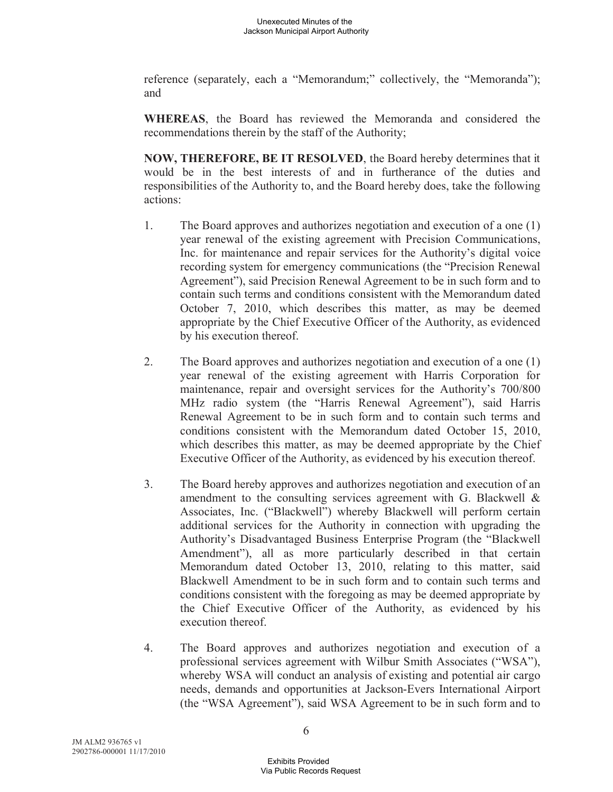reference (separately, each a "Memorandum;" collectively, the "Memoranda"); and

**WHEREAS**, the Board has reviewed the Memoranda and considered the recommendations therein by the staff of the Authority;

**NOW, THEREFORE, BE IT RESOLVED**, the Board hereby determines that it would be in the best interests of and in furtherance of the duties and responsibilities of the Authority to, and the Board hereby does, take the following actions:

- 1. The Board approves and authorizes negotiation and execution of a one (1) year renewal of the existing agreement with Precision Communications, Inc. for maintenance and repair services for the Authority's digital voice recording system for emergency communications (the "Precision Renewal Agreement"), said Precision Renewal Agreement to be in such form and to contain such terms and conditions consistent with the Memorandum dated October 7, 2010, which describes this matter, as may be deemed appropriate by the Chief Executive Officer of the Authority, as evidenced by his execution thereof.
- 2. The Board approves and authorizes negotiation and execution of a one (1) year renewal of the existing agreement with Harris Corporation for maintenance, repair and oversight services for the Authority's 700/800 MHz radio system (the "Harris Renewal Agreement"), said Harris Renewal Agreement to be in such form and to contain such terms and conditions consistent with the Memorandum dated October 15, 2010, which describes this matter, as may be deemed appropriate by the Chief Executive Officer of the Authority, as evidenced by his execution thereof.
- 3. The Board hereby approves and authorizes negotiation and execution of an amendment to the consulting services agreement with G. Blackwell & Associates, Inc. ("Blackwell") whereby Blackwell will perform certain additional services for the Authority in connection with upgrading the Authority's Disadvantaged Business Enterprise Program (the "Blackwell Amendment"), all as more particularly described in that certain Memorandum dated October 13, 2010, relating to this matter, said Blackwell Amendment to be in such form and to contain such terms and conditions consistent with the foregoing as may be deemed appropriate by the Chief Executive Officer of the Authority, as evidenced by his execution thereof.
- 4. The Board approves and authorizes negotiation and execution of a professional services agreement with Wilbur Smith Associates ("WSA"), whereby WSA will conduct an analysis of existing and potential air cargo needs, demands and opportunities at Jackson-Evers International Airport (the "WSA Agreement"), said WSA Agreement to be in such form and to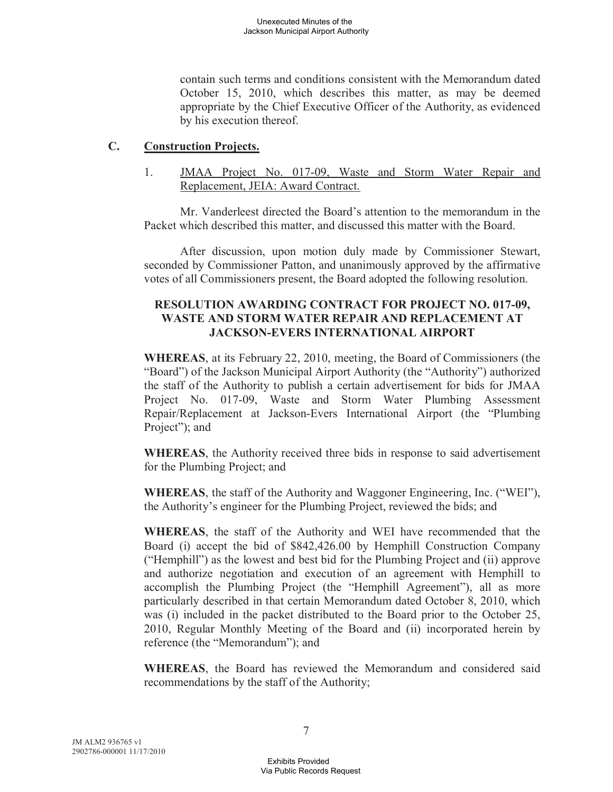contain such terms and conditions consistent with the Memorandum dated October 15, 2010, which describes this matter, as may be deemed appropriate by the Chief Executive Officer of the Authority, as evidenced by his execution thereof.

### **C. Construction Projects.**

1. JMAA Project No. 017-09, Waste and Storm Water Repair and Replacement, JEIA: Award Contract.

Mr. Vanderleest directed the Board's attention to the memorandum in the Packet which described this matter, and discussed this matter with the Board.

After discussion, upon motion duly made by Commissioner Stewart, seconded by Commissioner Patton, and unanimously approved by the affirmative votes of all Commissioners present, the Board adopted the following resolution.

## **RESOLUTION AWARDING CONTRACT FOR PROJECT NO. 017-09, WASTE AND STORM WATER REPAIR AND REPLACEMENT AT JACKSON-EVERS INTERNATIONAL AIRPORT**

**WHEREAS**, at its February 22, 2010, meeting, the Board of Commissioners (the "Board") of the Jackson Municipal Airport Authority (the "Authority") authorized the staff of the Authority to publish a certain advertisement for bids for JMAA Project No. 017-09, Waste and Storm Water Plumbing Assessment Repair/Replacement at Jackson-Evers International Airport (the "Plumbing Project"); and

**WHEREAS**, the Authority received three bids in response to said advertisement for the Plumbing Project; and

**WHEREAS**, the staff of the Authority and Waggoner Engineering, Inc. ("WEI"), the Authority's engineer for the Plumbing Project, reviewed the bids; and

**WHEREAS**, the staff of the Authority and WEI have recommended that the Board (i) accept the bid of \$842,426.00 by Hemphill Construction Company ("Hemphill") as the lowest and best bid for the Plumbing Project and (ii) approve and authorize negotiation and execution of an agreement with Hemphill to accomplish the Plumbing Project (the "Hemphill Agreement"), all as more particularly described in that certain Memorandum dated October 8, 2010, which was (i) included in the packet distributed to the Board prior to the October 25, 2010, Regular Monthly Meeting of the Board and (ii) incorporated herein by reference (the "Memorandum"); and

**WHEREAS**, the Board has reviewed the Memorandum and considered said recommendations by the staff of the Authority;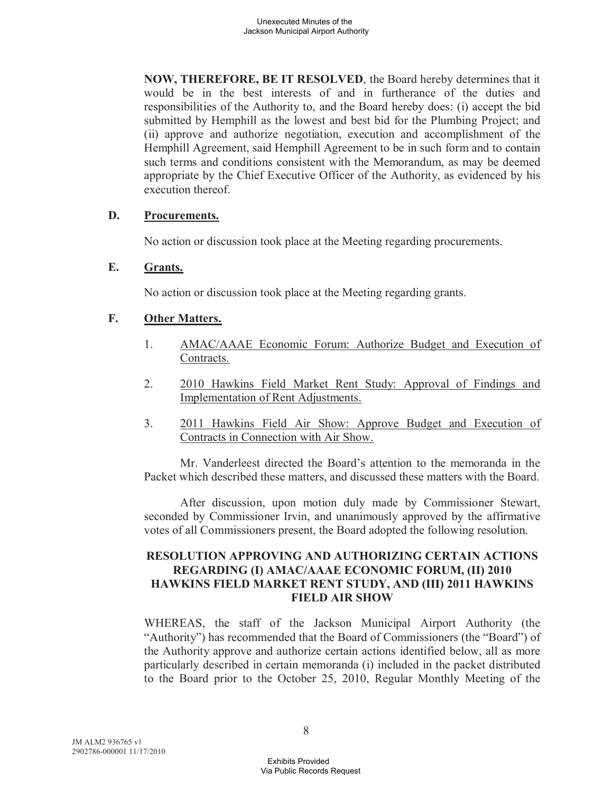**NOW, THEREFORE, BE IT RESOLVED**, the Board hereby determines that it would be in the best interests of and in furtherance of the duties and responsibilities of the Authority to, and the Board hereby does: (i) accept the bid submitted by Hemphill as the lowest and best bid for the Plumbing Project; and (ii) approve and authorize negotiation, execution and accomplishment of the Hemphill Agreement, said Hemphill Agreement to be in such form and to contain such terms and conditions consistent with the Memorandum, as may be deemed appropriate by the Chief Executive Officer of the Authority, as evidenced by his execution thereof.

### **D. Procurements.**

No action or discussion took place at the Meeting regarding procurements.

### **E. Grants.**

No action or discussion took place at the Meeting regarding grants.

### **F. Other Matters.**

- 1. AMAC/AAAE Economic Forum: Authorize Budget and Execution of Contracts.
- 2. 2010 Hawkins Field Market Rent Study: Approval of Findings and Implementation of Rent Adjustments.
- 3. 2011 Hawkins Field Air Show: Approve Budget and Execution of Contracts in Connection with Air Show.

Mr. Vanderleest directed the Board's attention to the memoranda in the Packet which described these matters, and discussed these matters with the Board.

After discussion, upon motion duly made by Commissioner Stewart, seconded by Commissioner Irvin, and unanimously approved by the affirmative votes of all Commissioners present, the Board adopted the following resolution.

# **RESOLUTION APPROVING AND AUTHORIZING CERTAIN ACTIONS REGARDING (I) AMAC/AAAE ECONOMIC FORUM, (II) 2010 HAWKINS FIELD MARKET RENT STUDY, AND (III) 2011 HAWKINS FIELD AIR SHOW**

WHEREAS, the staff of the Jackson Municipal Airport Authority (the "Authority") has recommended that the Board of Commissioners (the "Board") of the Authority approve and authorize certain actions identified below, all as more particularly described in certain memoranda (i) included in the packet distributed to the Board prior to the October 25, 2010, Regular Monthly Meeting of the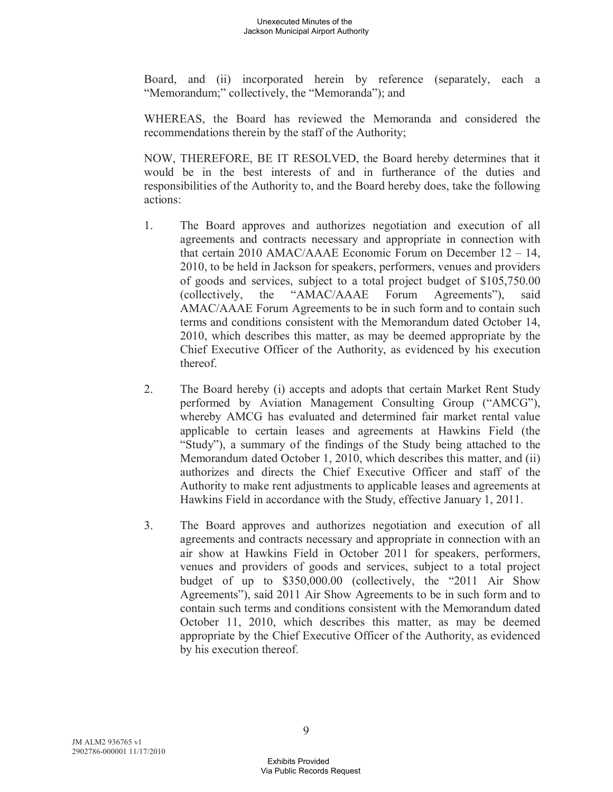Board, and (ii) incorporated herein by reference (separately, each a "Memorandum;" collectively, the "Memoranda"); and

WHEREAS, the Board has reviewed the Memoranda and considered the recommendations therein by the staff of the Authority;

NOW, THEREFORE, BE IT RESOLVED, the Board hereby determines that it would be in the best interests of and in furtherance of the duties and responsibilities of the Authority to, and the Board hereby does, take the following actions:

- 1. The Board approves and authorizes negotiation and execution of all agreements and contracts necessary and appropriate in connection with that certain 2010 AMAC/AAAE Economic Forum on December 12 – 14, 2010, to be held in Jackson for speakers, performers, venues and providers of goods and services, subject to a total project budget of \$105,750.00 (collectively, the "AMAC/AAAE Forum Agreements"), said AMAC/AAAE Forum Agreements to be in such form and to contain such terms and conditions consistent with the Memorandum dated October 14, 2010, which describes this matter, as may be deemed appropriate by the Chief Executive Officer of the Authority, as evidenced by his execution thereof.
- 2. The Board hereby (i) accepts and adopts that certain Market Rent Study performed by Aviation Management Consulting Group ("AMCG"), whereby AMCG has evaluated and determined fair market rental value applicable to certain leases and agreements at Hawkins Field (the "Study"), a summary of the findings of the Study being attached to the Memorandum dated October 1, 2010, which describes this matter, and (ii) authorizes and directs the Chief Executive Officer and staff of the Authority to make rent adjustments to applicable leases and agreements at Hawkins Field in accordance with the Study, effective January 1, 2011.
- 3. The Board approves and authorizes negotiation and execution of all agreements and contracts necessary and appropriate in connection with an air show at Hawkins Field in October 2011 for speakers, performers, venues and providers of goods and services, subject to a total project budget of up to \$350,000.00 (collectively, the "2011 Air Show Agreements"), said 2011 Air Show Agreements to be in such form and to contain such terms and conditions consistent with the Memorandum dated October 11, 2010, which describes this matter, as may be deemed appropriate by the Chief Executive Officer of the Authority, as evidenced by his execution thereof.